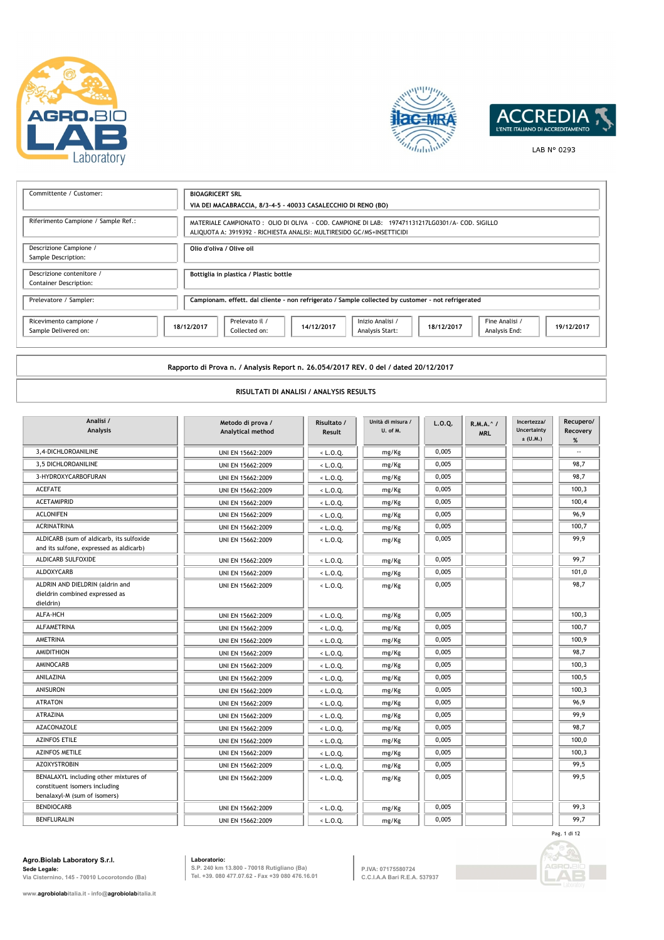





LAB N° 0293

| Committente / Customer:                                    | <b>BIOAGRICERT SRL</b><br>VIA DEI MACABRACCIA, 8/3-4-5 - 40033 CASALECCHIO DI RENO (BO)                                                                                  |  |  |  |  |
|------------------------------------------------------------|--------------------------------------------------------------------------------------------------------------------------------------------------------------------------|--|--|--|--|
| Riferimento Campione / Sample Ref.:                        | MATERIALE CAMPIONATO: OLIO DI OLIVA - COD. CAMPIONE DI LAB: 197471131217LG0301/A- COD. SIGILLO<br>ALIQUOTA A: 3919392 - RICHIESTA ANALISI: MULTIRESIDO GC/MS+INSETTICIDI |  |  |  |  |
| Descrizione Campione /<br>Sample Description:              | Olio d'oliva / Olive oil                                                                                                                                                 |  |  |  |  |
| Descrizione contenitore /<br><b>Container Description:</b> | Bottiglia in plastica / Plastic bottle                                                                                                                                   |  |  |  |  |
| Prelevatore / Sampler:                                     | Campionam, effett, dal cliente - non refrigerato / Sample collected by customer - not refrigerated                                                                       |  |  |  |  |
| Ricevimento campione /<br>Sample Delivered on:             | Prelevato il /<br>Inizio Analisi /<br>Fine Analisi /<br>18/12/2017<br>14/12/2017<br>18/12/2017<br>19/12/2017<br>Collected on:<br>Analysis Start:<br>Analysis End:        |  |  |  |  |

**Rapporto di Prova n. / Analysis Report n. 26.054/2017 REV. 0 del / dated 20/12/2017**

## **RISULTATI DI ANALISI / ANALYSIS RESULTS**

| Analisi /<br><b>Analysis</b>                                                                           | Metodo di prova /<br>Analytical method | Risultato /<br>Result | Unità di misura /<br>U. of M. | L.0.0. | R.M.A. ^ /<br><b>MRL</b> | Incertezza/<br>Uncertainty<br>$\pm$ (U.M.) | Recupero/<br>Recovery<br>% |
|--------------------------------------------------------------------------------------------------------|----------------------------------------|-----------------------|-------------------------------|--------|--------------------------|--------------------------------------------|----------------------------|
| 3,4-DICHLOROANILINE                                                                                    | UNI EN 15662:2009                      | $<$ L.O.Q.            | mg/Kg                         | 0,005  |                          |                                            |                            |
| 3,5 DICHLOROANILINE                                                                                    | UNI EN 15662:2009                      | $<$ L.O.Q.            | mg/Kg                         | 0,005  |                          |                                            | 98.7                       |
| 3-HYDROXYCARBOFURAN                                                                                    | UNI EN 15662:2009                      | $<$ L.O.Q.            | mg/Kg                         | 0,005  |                          |                                            | 98,7                       |
| <b>ACEFATE</b>                                                                                         | UNI EN 15662:2009                      | $<$ L.O.Q.            | mg/Kg                         | 0,005  |                          |                                            | 100,3                      |
| <b>ACETAMIPRID</b>                                                                                     | UNI EN 15662:2009                      | $<$ L.O.Q.            | mg/Kg                         | 0,005  |                          |                                            | 100,4                      |
| <b>ACLONIFEN</b>                                                                                       | UNI EN 15662:2009                      | $<$ L.O.Q.            | mg/Kg                         | 0,005  |                          |                                            | 96,9                       |
| <b>ACRINATRINA</b>                                                                                     | UNI EN 15662:2009                      | $<$ L.O.Q.            | mg/Kg                         | 0,005  |                          |                                            | 100,7                      |
| ALDICARB (sum of aldicarb, its sulfoxide<br>and its sulfone, expressed as aldicarb)                    | UNI EN 15662:2009                      | $<$ L.O.Q.            | mg/Kg                         | 0,005  |                          |                                            | 99,9                       |
| ALDICARB SULFOXIDE                                                                                     | UNI EN 15662:2009                      | $<$ L.O.Q.            | mg/Kg                         | 0,005  |                          |                                            | 99,7                       |
| ALDOXYCARB                                                                                             | UNI EN 15662:2009                      | $<$ L.O.Q.            | mg/Kg                         | 0,005  |                          |                                            | 101,0                      |
| ALDRIN AND DIELDRIN (aldrin and<br>dieldrin combined expressed as<br>dieldrin)                         | UNI EN 15662:2009                      | $<$ L.O.Q.            | mg/Kg                         | 0,005  |                          |                                            | 98,7                       |
| ALFA-HCH                                                                                               | UNI EN 15662:2009                      | $<$ L.O.Q.            | mg/Kg                         | 0,005  |                          |                                            | 100,3                      |
| <b>ALFAMETRINA</b>                                                                                     | UNI EN 15662:2009                      | $<$ L.O.Q.            | mg/Kg                         | 0,005  |                          |                                            | 100,7                      |
| <b>AMETRINA</b>                                                                                        | UNI EN 15662:2009                      | $<$ L.O.Q.            | mg/Kg                         | 0,005  |                          |                                            | 100,9                      |
| <b>AMIDITHION</b>                                                                                      | UNI EN 15662:2009                      | $<$ L.O.Q.            | mg/Kg                         | 0,005  |                          |                                            | 98,7                       |
| AMINOCARB                                                                                              | UNI EN 15662:2009                      | $<$ L.O.Q.            | mg/Kg                         | 0,005  |                          |                                            | 100,3                      |
| ANILAZINA                                                                                              | UNI EN 15662:2009                      | $<$ L.O.Q.            | mg/Kg                         | 0,005  |                          |                                            | 100.5                      |
| <b>ANISURON</b>                                                                                        | UNI EN 15662:2009                      | $<$ L.O.Q.            | mg/Kg                         | 0,005  |                          |                                            | 100,3                      |
| <b>ATRATON</b>                                                                                         | UNI EN 15662:2009                      | $<$ L.O.Q.            | mg/Kg                         | 0,005  |                          |                                            | 96,9                       |
| <b>ATRAZINA</b>                                                                                        | UNI EN 15662:2009                      | $<$ L.O.Q.            | mg/Kg                         | 0,005  |                          |                                            | 99,9                       |
| AZACONAZOLE                                                                                            | UNI EN 15662:2009                      | $<$ L.O.Q.            | mg/Kg                         | 0,005  |                          |                                            | 98,7                       |
| <b>AZINFOS ETILE</b>                                                                                   | UNI EN 15662:2009                      | $<$ L.O.Q.            | mg/Kg                         | 0,005  |                          |                                            | 100,0                      |
| <b>AZINFOS METILE</b>                                                                                  | UNI EN 15662:2009                      | $<$ L.O.Q.            | mg/Kg                         | 0,005  |                          |                                            | 100,3                      |
| <b>AZOXYSTROBIN</b>                                                                                    | UNI EN 15662:2009                      | $<$ L.O.Q.            | mg/Kg                         | 0,005  |                          |                                            | 99,5                       |
| BENALAXYL including other mixtures of<br>constituent isomers including<br>benalaxyl-M (sum of isomers) | UNI EN 15662:2009                      | $<$ L.O.Q.            | mg/Kg                         | 0,005  |                          |                                            | 99,5                       |
| <b>BENDIOCARB</b>                                                                                      | UNI EN 15662:2009                      | $<$ L.O.Q.            | mg/Kg                         | 0,005  |                          |                                            | 99,3                       |
| <b>BENFLURALIN</b>                                                                                     | UNI EN 15662:2009                      | $<$ L.O.Q.            | mg/Kg                         | 0,005  |                          |                                            | 99.7                       |
|                                                                                                        |                                        |                       |                               |        |                          |                                            | Pag. 1 di 12               |

# **Agro.Biolab Laboratory S.r.l. Sede Legale: Via Cisternino, 145 - 70010 Locorotondo (Ba)**

**www.agrobiolabitalia.it - info@agrobiolabitalia.it**

**Laboratorio: S.P. 240 km 13.800 - 70018 Rutigliano (Ba) Tel. +39. 080 477.07.62 - Fax +39 080 476.16.01**

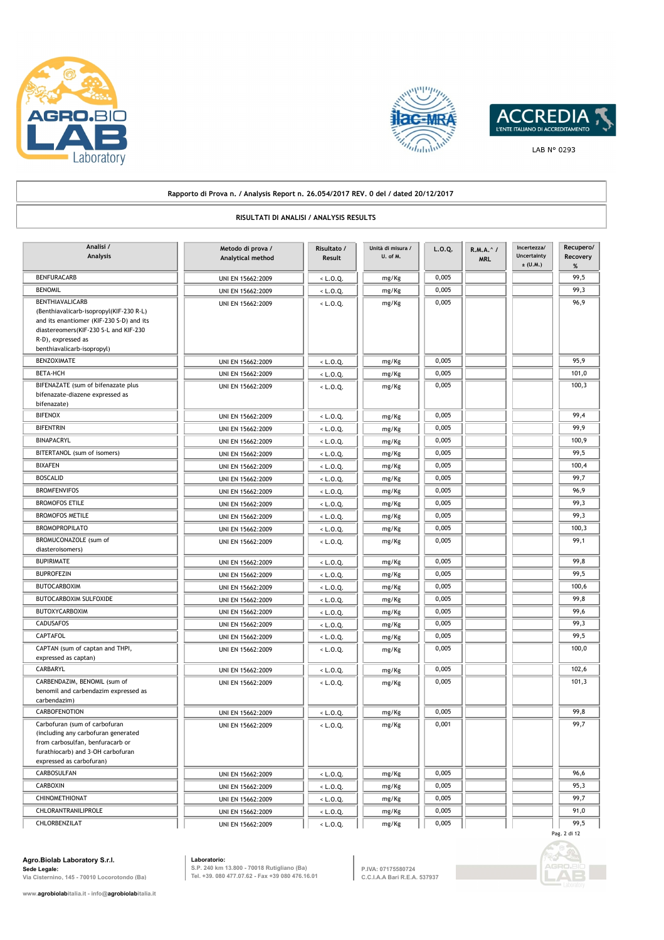





#### **Rapporto di Prova n. / Analysis Report n. 26.054/2017 REV. 0 del / dated 20/12/2017 RISULTATI DI ANALISI / ANALYSIS RESULTS Metodo di prova / Analytical method Analisi / Analysis Risultato / Result L.O.Q. R.M.A.^ / MRL Incertezza/ Uncertainty**   $\pm$  (U.M.) **Recupero/ Recovery % Unità di misura / U. of M.** BENFURACARB UNI EN 15662:2009 < L.O.Q. mg/Kg 0,005 99,5 BENOMIL UNI EN 15662:2009 < L.O.Q. mg/Kg 0,005 99,3 BENTHIAVALICARB UNI EN 15662:2009 < L.O.Q. 0,005 96,9 (Benthiavalicarb-isopropyl(KIF-230 R-L) and its enantiomer (KIF-230 S-D) and its diastereomers(KIF-230 S-L and KIF-230 R-D), expressed as benthiavalicarb-isopropyl) mg/Kg BENZOXIMATE UNI EN 15662:2009 < L.O.Q. mg/Kg 0,005 95,9 BETA-HCH | | UNI EN 15662:2009 | < L.O.Q. | | mg/Kg | | 0,005 | | | | | 101,0 BIFENAZATE (sum of bifenazate plus UNI EN 15662:2009 UNI EN 15662:2009 CLO.Q. 0,005 0,005 100,3 bifenazate-diazene expressed as bifenazate) mg/Kg BIFENOX UNI EN 15662:2009 <br/>
UNI EN 15662:2009 <br/>
<br/>
<br/>
<br/>
<br/>
<br/>
<br/>
LO.Q. mg/Kg 0,005 0,005 99,4 BIFENTRIN UNI EN 15662:2009 < L.O.Q. mg/Kg 0,005 99,9 99,9 BINAPACRYL **100,9** UNI EN 15662:2009 <br/>
UNI EN 15662:2009 <br/>  $L$  D.Q. mg/Kg 0,005 0,005 100,9 BITERTANOL (sum of isomers) UNI EN 15662:2009 UNI EN 15662:2009 VALUE 2009 UNI EN 15662:2009 UNI EN 15662:2009 UNI EN 159,5 BIXAFEN UNI EN 15662:2009  $\begin{array}{|c|c|c|c|c|c|}\hline \text{BIXA-FEN} & 0,005 & 0.005 & 0.005 & 0.005\hline \end{array}$ BOSCALID UNI EN 15662:2009  $\left|\right|$  < L.O.Q.  $\left|\right|$  mg/Kg 0,005  $\left|\right|$  99,7 BROMFENVIFOS UNI EN 15662:2009  $\leq L.0.Q$  mg/Kg 0,005  $\leq 0.05$ BROMOFOS ETILE UNI EN 15662:2009  $\le L.0.Q$  mg/Kg 0,005  $\le 0.05$ BROMOFOS METILE UNI EN 15662:2009  $\vert \cdot \vert$  c.o.q. mg/Kg 0,005  $\vert$  99,3 BROMOPROPILATO UNI EN 15662:2009 < L.O.Q. mg/Kg 0,005 100,3 BROMUCONAZOLE (sum of UNI EN 15662:2009  $\overline{\left(4.0,0.2\right)}$  mg/Kg 0,005 99,1 diasteroisomers) mg/Kg BUPIRIMATE UNI EN 15662:2009 < L.O.Q. mg/Kg 0,005 99,8 BUPROFEZIN UNI EN 15662:2009 < L.O.Q. mg/Kg 0,005 99,5 BUTOCARBOXIM UNI EN 15662:2009 < L.O.Q. mg/Kg 0,005 100,6 BUTOCARBOXIM SULFOXIDE UNI EN 15662:2009 UNI EN 15662:2009 CLO.Q. mg/Kg 0,005 99,8 BUTOXYCARBOXIM | | UNI EN 15662:2009 | | <L.O.Q. | | mg/Kg | | 0,005 || | | | | 99,6 CADUSAFOS UNI EN 15662:2009 < L.O.Q. mg/Kg 0,005 99,3 CAPTAFOL UNI EN 15662:2009 < L.O.Q. mg/Kg 0,005 99,5 CAPTAN (sum of captan and THPI, THE RESP. 2009 1001) UNI EN 15662:2009 10000 10000 10000 10000 10000 10000 10000 10000 10000 10000 10000 10000 10000 10000 10000 10000 10000 10000 10000 10000 10000 10000 10000 10000 10000 1 expressed as captan) mg/Kg CARBARYL UNI EN 15662:2009 < L.O.Q. mg/Kg 0,005 102,6 CARBENDAZIM, BENOMIL (sum of UNI EN 15662:2009 < L.O.Q. 0,005 101,3 benomil and carbendazim expressed as carbendazim) mg/Kg CARBOFENOTION UNI EN 15662:2009 < L.O.Q. mg/Kg 0,005 99,8  $\text{Carbofuran (sum of carbofuran)}$  UNI EN 15662:2009  $\text{CLO.Q.}$   $\text{mg/Kg}$  0,001 (including any carbofuran generated from carbosulfan, benfuracarb or furathiocarb) and 3-OH carbofuran expressed as carbofuran) mg/Kg CARBOSULFAN UNI EN 15662:2009 < L.O.Q. mg/Kg 0,005 06.6  $CARBOXIN$  UNI EN 15662:2009  $\begin{array}{|c|c|c|c|c|c|}\hline \text{C} & \text{mg/Kg} & \text{0,005} & \text{0.05} \\\hline \end{array}$ CHINOMETHIONAT UNI EN 15662:2009 UNI EN 15662:2009 CHINOMETHIONAT 99,7 CHLORANTRANILIPROLE UNI EN 15662:2009 UNI EN 15662:2009 CALO.Q. mg/Kg 0,005 01 10 1,0

CHLORBENZILAT UNI EN 15662:2009 < L.O.Q. mg/Kg 0,005 99,5

**Agro.Biolab Laboratory S.r.l.**

**www.agrobiolabitalia.it - info@agrobiolabitalia.it**

**Sede Legale: Via Cisternino, 145 - 70010 Locorotondo (Ba)**

**Laboratorio: S.P. 240 km 13.800 - 70018 Rutigliano (Ba) Tel. +39. 080 477.07.62 - Fax +39 080 476.16.01**

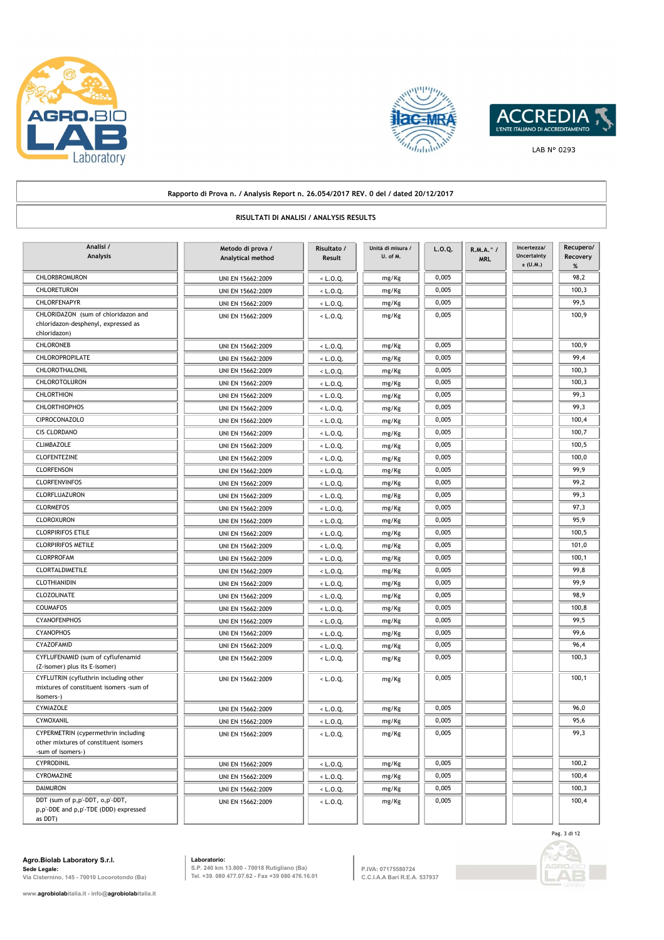





#### **Rapporto di Prova n. / Analysis Report n. 26.054/2017 REV. 0 del / dated 20/12/2017 RISULTATI DI ANALISI / ANALYSIS RESULTS Metodo di prova / Analytical method Analisi / Analysis Risultato / Result L.O.Q. R.M.A.^ / MRL Incertezza/ Uncertainty**   $\pm$  (U.M.) **Recupero/ Recovery % Unità di misura / U. of M.** CHLORBROMURON UNI EN 15662:2009 < L.O.Q. mg/Kg 0,005 98,2 CHLORETURON UNI EN 15662:2009 <br/>
UNI EN 15662:2009 <br/>
<br/>
<br/>
<br/>
<br/>
<br/>
CHLORETURON 100,3 CHLORFENAPYR UNI EN 15662:2009  $\begin{array}{|c|c|c|c|c|c|}\hline \text{CHLORE} & \text{mg/Kg} & \text{0,005} \hline \end{array}$  99,5 CHLORIDAZON (sum of chloridazon and UNI EN 15662:2009 < L.O.Q. 9 mg/Kg 0,005 100,9 chloridazon-desphenyl, expressed as chloridazon) mg/Kg CHLORONEB UNI EN 15662:2009 < L.O.Q. mg/Kg 0,005 100,9 CHLOROPROPILATE UNI EN 15662:2009 < L.O.Q. mg/Kg 0,005 99,4 CHLOROTHALONIL UNI EN 15662:2009 < L.O.Q. mg/Kg 0,005 100,3 CHLOROTOLURON UNI EN 15662:2009 < L.O.Q. mg/Kg 0,005 100,3 CHLORTHION UNI EN 15662:2009 < L.O.Q. mg/Kg 0,005 99,3 CHLORTHIOPHOS UNI EN 15662:2009 < L.O.Q. mg/Kg 0,005 99,3 CIPROCONAZOLO UNI EN 15662:2009 < L.O.Q. mg/Kg 0,005 100,4 CIS CLORDANO UNI EN 15662:2009 < L.O.Q. mg/Kg 0,005 100,7 CLIMBAZOLE UNI EN 15662:2009 < L.O.Q. mg/Kg 0,005 100,5 CLOFENTEZINE UNI EN 15662:2009 < L.O.Q. mg/Kg 0,005 100,0 CLORFENSON UNI EN 15662:2009 < L.O.Q. mg/Kg 0,005 99,9 CLORFENVINFOS | | UNI EN 15662:2009 | | <L.O.Q. | | mg/Kg | | 0,005 || | | 99,2 CLORFLUAZURON UNI EN 15662:2009 < L.O.Q. mg/Kg 0,005 99,3 CLORMEFOS UNI EN 15662:2009 < L.O.Q. mg/Kg 0,005 97,3 CLOROXURON UNI EN 15662:2009 < L.O.Q. mg/Kg 0,005 95,9 CLORPIRIFOS ETILE | | UNI EN 15662:2009 | | < L.O.Q. | | mg/Kg | | 0,005 | | | | 100,5 CLORPIRIFOS METILE | | UNI EN 15662:2009 | | < L.O.Q. | | mg/Kg | | 0,005 | | | | 101,0 CLORPROFAM UNI EN 15662:2009 < L.O.Q. mg/Kg 0,005 100,1 CLORTALDIMETILE | | UNI EN 15662:2009 | | < L.O.Q. | | mg/Kg | | 0,005 | | | | | | 99,8 CLOTHIANIDIN UNI EN 15662:2009 < L.O.Q. mg/Kg 0,005 99,9 CLOZOLINATE UNI EN 15662:2009 < L.O.Q. mg/Kg 0,005 98,9 COUMAFOS UNI EN 15662:2009 < L.O.Q. mg/Kg 0,005 100,8 CYANOFENPHOS UNI EN 15662:2009 < L.O.Q. mg/Kg 0,005 99,5 CYANOPHOS UNI EN 15662:2009 < L.O.Q. mg/Kg 0,005 99,6 CYAZOFAMID UNI EN 15662:2009 < L.O.Q. mg/Kg 0,005 96,4 CYFLUFENAMID (sum of cyflufenamid UNI EN 15662:2009 (CYFLUFENAMID (sum of cyflufenamid 100,3 (Z-isomer) plus its E-isomer) mg/Kg CYFLUTRIN (cyfluthrin including other UNI EN 15662:2009  $\sqrt{L}$ , D.O. 0, 0,005 0,005 100,1 mixtures of constituent isomers -sum of isomers-) mg/Kg CYMIAZOLE UNI EN 15662:2009 < L.O.Q. mg/Kg 0,005 96,0 CYMOXANIL UNI EN 15662:2009 < L.O.Q. mg/Kg 0,005 95,6 CYPERMETRIN (cypermethrin including UNI EN 15662:2009  $\left\lfloor \frac{1}{2} \cdot \frac{1}{2} \cdot \frac{1}{2} \cdot \frac{1}{2} \cdot \frac{1}{2} \cdot \frac{1}{2} \cdot \frac{1}{2} \cdot \frac{1}{2} \cdot \frac{1}{2} \cdot \frac{1}{2} \cdot \frac{1}{2} \cdot \frac{1}{2} \cdot \frac{1}{2} \cdot \frac{1}{2} \cdot \frac{1}{2} \cdot \frac{1}{2} \cdot \frac{1}{2} \cdot \frac{1}{2} \$ other mixtures of constituent isomers -sum of isomers-) mg/Kg CYPRODINIL UNI EN 15662:2009 < L.O.Q. mg/Kg 0,005 100,2 CYROMAZINE UNI EN 15662:2009 < L.O.Q. mg/Kg 0,005 100,4 DAIMURON UNI EN 15662:2009 < L.O.Q. mg/Kg 0,005 100,3 DDT (sum of p,p'-DDT, o,p'-DDT, UNI EN 15662:2009 < L.O.Q. 0,005 100,4 p,p'-DDE and p,p'-TDE (DDD) expressed as DDT) mg/Kg

**Agro.Biolab Laboratory S.r.l. Sede Legale:**

**Via Cisternino, 145 - 70010 Locorotondo (Ba)**

**www.agrobiolabitalia.it - info@agrobiolabitalia.it**

**Laboratorio: S.P. 240 km 13.800 - 70018 Rutigliano (Ba) Tel. +39. 080 477.07.62 - Fax +39 080 476.16.01**

**P.IVA: 07175580724 C.C.I.A.A Bari R.E.A. 537937**



Pag. 3 di 12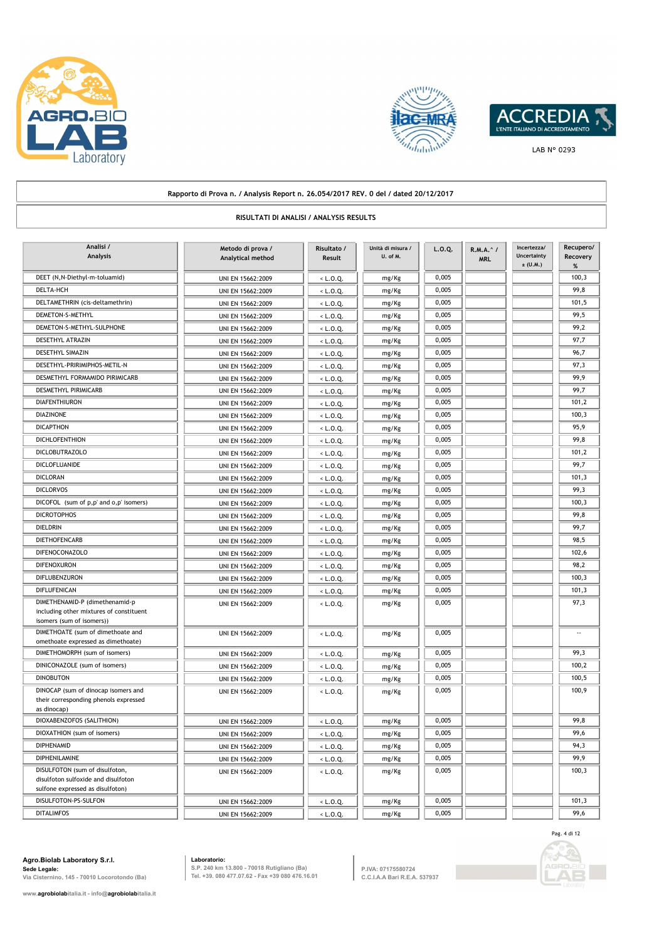





### **Rapporto di Prova n. / Analysis Report n. 26.054/2017 REV. 0 del / dated 20/12/2017 RISULTATI DI ANALISI / ANALYSIS RESULTS Metodo di prova / Analytical method Analisi / Analysis Risultato / Result L.O.Q. R.M.A.^ / MRL Incertezza/ Uncertainty**   $\pm$  (U.M.) **Recupero/ Recovery % Unità di misura / U. of M.** DEET (N,N-Diethyl-m-toluamid) UNI EN 15662:2009 < L.O.Q. mg/Kg 0,005 0,005 100,3 DELTA-HCH UNI EN 15662:2009 < L.O.Q. mg/Kg 0,005 99,8 DELTAMETHRIN (cis-deltamethrin) UNI EN 15662:2009 < L.O.Q. mg/Kg 0,005 0,005 101,5 DEMETON-S-METHYL **DEMETON-S-METHYL** 99,5 DEMETON-S-METHYL-SULPHONE UNI EN 15662:2009 < L.O.Q. mg/Kg 0,005 99,2 DESETHYL ATRAZIN UNI EN 15662:2009 < L.O.Q. mg/Kg 0,005 97,7 DESETHYL SIMAZIN **DESETHYL SIMAZIN** UNI EN 15662:2009  $\begin{array}{|c|c|c|c|c|c|}\n\hline\n\text{0,005} & \text{mg/Kg} & \text{0,005} \\
\hline\n\end{array}$ DESETHYL-PRIRIMIPHOS-METIL-N UNI EN 15662:2009  $\leq$  L.O.Q. mg/Kg 0,005 97,3 DESMETHYL FORMAMIDO PIRIMICARB UNI EN 15662:2009  $\left\vert \left\langle \right. +1.0.Q. \right\vert$  mg/Kg 0,005 99,9 DESMETHYL PIRIMICARB UNI EN 15662:2009 < L.O.Q. mg/Kg 0,005 99,7 DIAFENTHIURON UNI EN 15662:2009 < L.O.Q. mg/Kg 0,005 101,2 DIAZINONE UNI EN 15662:2009 | <L.O.Q. | mg/Kg 0,005 | 100,3 DICAPTHON UNI EN 15662:2009 UNI EN 15662:2009 CLO.Q. mg/Kg 0,005 95,9 DICHLOFENTHION UNI EN 15662:2009 (C.D.Q. mg/Kg 0,005 99,8 DICLOBUTRAZOLO UNI EN 15662:2009 | < L.O.Q. | mg/Kg 0,005 | 101,2 DICLOFLUANIDE UNI EN 15662:2009 UNI EN 15662:2009 UNI EN 15662:2009 UNI EN 15662:2009 UNI EN 15662:2009 UNI EN ME DICLORAN UNI EN 15662:2009 < L.O.Q. mg/Kg 0,005 101,3 DICLORVOS UNI EN 15662:2009 | < L.O.Q. | mg/Kg 0,005 | 99,3 DICOFOL (sum of p,p' and o,p' isomers) UNI EN 15662:2009 | < L.O.Q. | mg/Kg 0,005 | | 100,3 DICROTOPHOS UNI EN 15662:2009  $\left|\right|$  C.O.Q.  $\left|\right|$  mg/Kg 0,005  $\left|\right|$  99,8 DIELDRIN UNI EN 15662:2009 < L.O.Q. mg/Kg 0,005 99,7 DIETHOFENCARB UNI EN 15662:2009 < L.O.Q. mg/Kg 0,005 98,5 DIFENOCONAZOLO UNI EN 15662:2009 < L.O.Q. mg/Kg 0,005 102,6 DIFENOXURON UNI EN 15662:2009 < L.O.Q. mg/Kg 0,005 98,2 DIFLUBENZURON UNI EN 15662:2009 < L.O.Q. mg/Kg 0,005 100,3 DIFLUFENICAN UNI EN 15662:2009 < L.O.Q. mg/Kg 0,005 101,3  $DIMETHENAMID-P (dimethenamid-p$   $UNI EN 15662:2009$   $\left\{\n\begin{array}{ccc}\n\end{array}\n\right.\n\left.\n\right.\n\left.\n\left.\n\right.\n\left.\n\right.\n\left.\n\right.\n\left.\n\right.\n\left.\n\right.\n\left.\n\right.\n\left.\n\right.\n\left.\n\left.\n\right.\n\left.\n\right.\n\left.\n\right.\n\left.\n\right.\n\left.\n\right.\n\left.\n\right.\n\left.\n\right.\n\left.\n\right.\n\left.\n\right.\n\left.\n\right.\n\left.\n\right.\n\$ including other mixtures of constituent isomers (sum of isomers)) mg/Kg UNI EN 15662:2009 < L.O.Q. DIMETHOATE (sum of dimethoate and 0,005 - omethoate expressed as dimethoate) mg/Kg DIMETHOMORPH (sum of isomers) UNI EN 15662:2009 UNI EN 15662:2009  $\sqrt{1-\epsilon}$  L.O.Q. mg/Kg 0,005  $\sqrt{99,3}$ DINICONAZOLE (sum of isomers) UNI EN 15662:2009 UNI EN 15662:2009 | <L.O.Q. | mg/Kg 0,005 | 100,2 DINOBUTON UNI EN 15662:2009 < L.O.Q. mg/Kg 0,005 100,5 DINOCAP (sum of dinocap isomers and UNI EN 15662:2009  $\leq L.0.0$ . 0,005 0,005 100.9 their corresponding phenols expressed as dinocap) mg/Kg DIOXABENZOFOS (SALITHION) UNI EN 15662:2009  $\begin{array}{|c|c|c|c|c|c|c|c|c|} \hline \text{mg/kg} & \text{0,005} & \text{0.005} \hline \end{array}$  99,8 DIOXATHION (sum of isomers) UNI EN 15662:2009 UNI EN 15662:2009 | <L.O.Q. mg/Kg 0,005 | 0,005 99,6 DIPHENAMID UNI EN 15662:2009 < L.O.Q. mg/Kg 0,005 94,3 DIPHENILAMINE UNI EN 15662:2009 < L.O.Q. mg/Kg 0,005 99,9 DISULFOTON (sum of disulfoton, The Contract of the UNI EN 15662:2009 (CLO, OC) | mg/Kg | 0,005 | 100,3 disulfoton sulfoxide and disulfoton sulfone expressed as disulfoton) mg/Kg DISULFOTON-PS-SULFON UNI EN 15662:2009 < L.O.Q. mg/Kg 0,005 101,3 DITALIMFOS UNI EN 15662:2009 UNI EN 15662:2009 | <L.O.Q. | mg/Kg 0,005 | 99,6

#### **Agro.Biolab Laboratory S.r.l. Sede Legale:**

**Via Cisternino, 145 - 70010 Locorotondo (Ba)**

**www.agrobiolabitalia.it - info@agrobiolabitalia.it**

**Laboratorio: S.P. 240 km 13.800 - 70018 Rutigliano (Ba) Tel. +39. 080 477.07.62 - Fax +39 080 476.16.01**

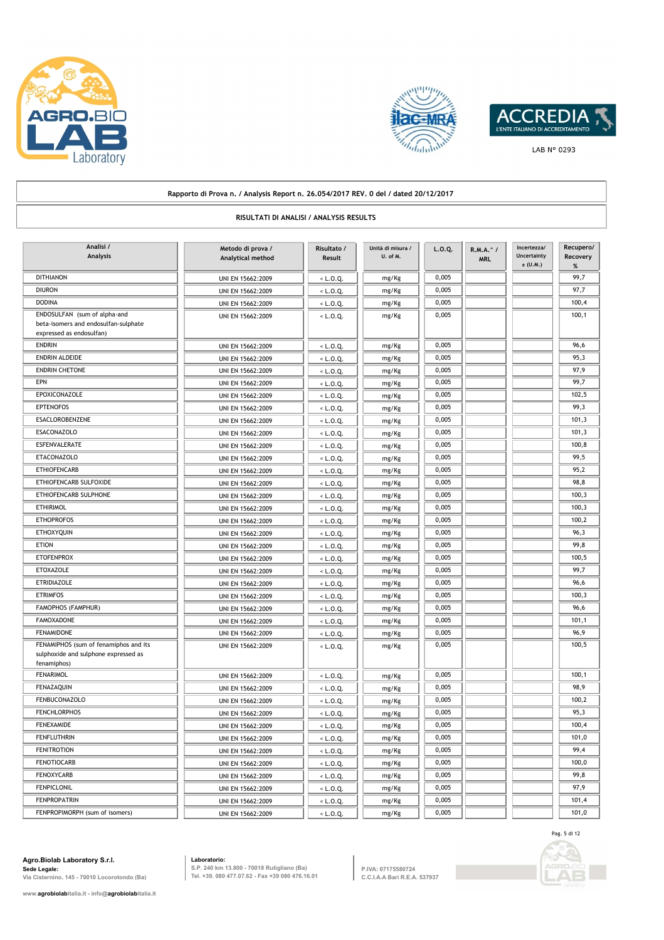





## **Rapporto di Prova n. / Analysis Report n. 26.054/2017 REV. 0 del / dated 20/12/2017 RISULTATI DI ANALISI / ANALYSIS RESULTS Metodo di prova / Analytical method Analisi / Analysis Risultato / Result L.O.Q. R.M.A.^ / MRL Incertezza/ Uncertainty**   $\pm$  (U.M.) **Recupero/ Recovery % Unità di misura / U. of M.** DITHIANON UNI EN 15662:2009  $\left\vert \left. \right\vert \left. \right\vert$   $\left\vert \left. \right\vert \left. \right\vert$   $\left\vert \left. \right\vert \left\vert \right\vert$   $\left\vert \left. \right\vert \left\vert \right\vert$   $\left\vert \left. \right\vert \right\vert$   $\left\vert \left. \right\vert \right\vert$   $\left\vert \left. \right\vert \right\vert$   $\left\vert \left. \right\vert \right\vert$   $\left\vert \left. \right\vert \right\vert$   $\left\vert \left. \right\vert \right\vert$ DIURON UNI EN 15662:2009  $\sqrt{27.7}$   $\sqrt{27.7}$   $\sqrt{27.7}$   $\sqrt{27.7}$   $\sqrt{27.7}$   $\sqrt{27.7}$   $\sqrt{27.7}$   $\sqrt{27.7}$   $\sqrt{27.7}$   $\sqrt{27.7}$   $\sqrt{27.7}$   $\sqrt{27.7}$   $\sqrt{27.7}$   $\sqrt{27.7}$   $\sqrt{27.7}$   $\sqrt{27.7}$   $\sqrt{27.7}$   $\sqrt{27.7}$ DODINA UNI EN 15662:2009 <br/>  $\begin{array}{|c|c|c|c|c|c|}\n\hline\n\text{CDI} & \text{C} & \text{C} & \text{C} & \text{C} & \text{C} & \text{C} \\
\hline\n\end{array}$ ENDOSULFAN (sum of alpha-and UNI EN 15662:2009 | <L.O.Q. | mg/Kg | 0,005 | 100,1 beta-isomers and endosulfan-sulphate expressed as endosulfan) mg/Kg ENDRIN UNI EN 15662:2009 < L.O.Q. mg/Kg 0,005 96,6 ENDRIN ALDEIDE UNI EN 15662:2009 < L.O.Q. mg/Kg 0,005 95,3 ENDRIN CHETONE UNI EN 15662:2009 < L.O.Q. mg/Kg 0,005 97,9 EPN | | UNI EN 15662:2009 | | < L.O.Q. | | mg/Kg | | 0,005 | | | | | | 99,7 EPOXICONAZOLE UNI EN 15662:2009 < L.O.Q. mg/Kg 0,005 102,5 EPTENOFOS UNI EN 15662:2009 < L.O.Q. mg/Kg 0,005 99,3 ESACLOROBENZENE UNI EN 15662:2009 < L.O.Q. mg/Kg 0,005 101,3 ESACONAZOLO UNI EN 15662:2009 < L.O.Q. mg/Kg 0,005 101,3 ESFENVALERATE UNI EN 15662:2009 < L.O.Q. mg/Kg 0,005 100,8 ETACONAZOLO UNI EN 15662:2009 < L.O.Q. mg/Kg 0,005 99,5 ETHIOFENCARB UNI EN 15662:2009 < L.O.Q. mg/Kg 0,005 95,2 ETHIOFENCARB SULFOXIDE UNI EN 15662:2009  $\begin{array}{|c|c|c|c|c|}\hline \text{EVAL} & \text{mg/Kg} & 0.005 & 0.005 & 98.8 \\\hline \end{array}$ ETHIOFENCARB SULPHONE UNI EN 15662:2009 (C.O.Q. mg/Kg 0,005 100,3 ETHIRIMOL **100,3** UNI EN 15662:2009 <br/>  $\left| \begin{array}{ccc} \text{C} & \text{C} & \text{C} \\ \text{D} & \text{D} & \text{D} \end{array} \right|$  =  $\left| \begin{array}{ccc} \text{D} & \text{D} & \text{D} \\ \text{E} & \text{D} & \text{D} \end{array} \right|$  =  $\left| \begin{array}{ccc} \text{D} & \text{D} & \text{D} \\ \text{E} & \text{E} & \text{D} \end{array} \right|$  =  $\left| \begin$ ETHOPROFOS UNI EN 15662:2009 < L.O.Q. mg/Kg 0,005 100,2 ETHOXYQUIN UNI EN 15662:2009 < L.O.Q. mg/Kg 0,005 96,3 ETION UNI EN 15662:2009 < L.O.Q. mg/Kg 0,005 99,8 ETOFENPROX UNI EN 15662:2009 < L.O.Q. mg/Kg 0,005 100,5 ETOXAZOLE UNI EN 15662:2009 < L.O.Q. mg/Kg 0,005 99,7 ETRIDIAZOLE UNI EN 15662:2009 < L.O.Q. mg/Kg 0,005 96,6 ETRIMFOS UNI EN 15662:2009 < L.O.Q. mg/Kg 0,005 100,3 FAMOPHOS (FAMPHUR) || UNI EN 15662:2009 || <L.O.Q. || mg/Kg || 0,005 || || || 96,6 FAMOXADONE UNI EN 15662:2009 < L.O.Q. mg/Kg 0,005 101,1 FENAMIDONE UNI EN 15662:2009 < L.O.Q. mg/Kg 0,005 96,9 FENAMIPHOS (sum of fenamiphos and its UNI EN 15662:2009 (CLO.O. 0,005 0,005 100,5 100,5 100,5 100,5 sulphoxide and sulphone expressed as fenamiphos) mg/Kg FENARIMOL UNI EN 15662:2009 < L.O.Q. mg/Kg 0,005 100,1 FENAZAQUIN UNI EN 15662:2009 < L.O.Q. mg/Kg 0,005 98,9 FENBUCONAZOLO UNI EN 15662:2009 < L.O.Q. mg/Kg 0,005 100,2 FENCHLORPHOS UNI EN 15662:2009 < L.O.Q. mg/Kg 0,005 95,3 FENEXAMIDE UNI EN 15662:2009 < L.O.Q. mg/Kg 0,005 100,4 FENFLUTHRIN UNI EN 15662:2009 < L.O.Q. mg/Kg 0,005 101,0 FENITROTION UNI EN 15662:2009 < L.O.Q. mg/Kg 0,005 99,4 FENOTIOCARB UNI EN 15662:2009 < L.O.Q. mg/Kg 0,005 100,0 FENOXYCARB UNI EN 15662:2009 < L.O.Q. mg/Kg 0,005 99,8 FENPICLONIL UNI EN 15662:2009 < L.O.Q. mg/Kg 0,005 97,9 FENPROPATRIN UNI EN 15662:2009 < L.O.Q. mg/Kg 0,005 101,4 FENPROPIMORPH (sum of isomers) UNI EN 15662:2009 (CLO.Q. mg/Kg 0,005 101,0

**Agro.Biolab Laboratory S.r.l. Sede Legale: Via Cisternino, 145 - 70010 Locorotondo (Ba)** **Laboratorio:**

**S.P. 240 km 13.800 - 70018 Rutigliano (Ba) Tel. +39. 080 477.07.62 - Fax +39 080 476.16.01** **P.IVA: 07175580724 C.C.I.A.A Bari R.E.A. 537937**

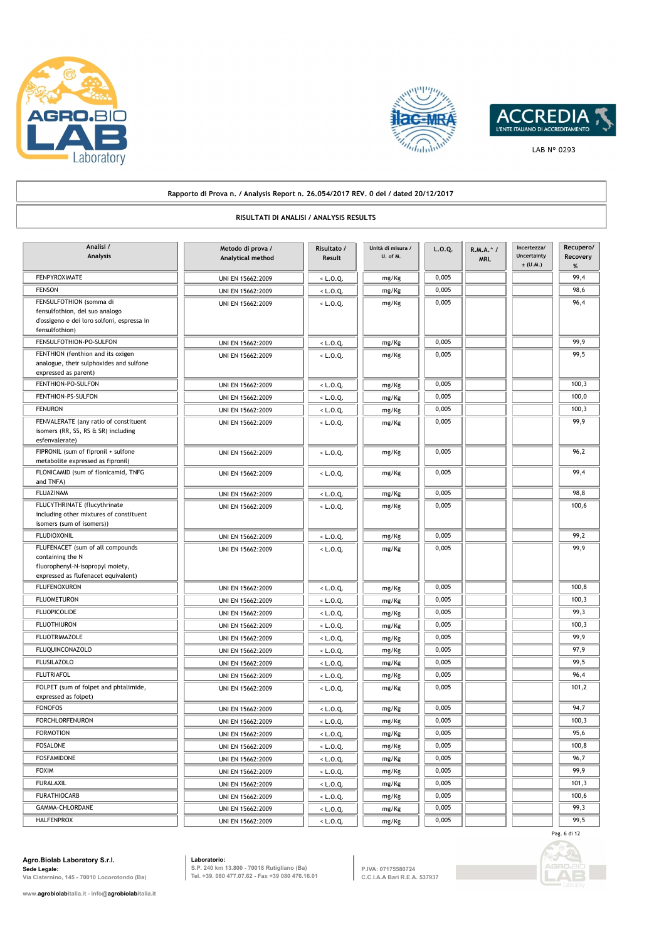





#### **Rapporto di Prova n. / Analysis Report n. 26.054/2017 REV. 0 del / dated 20/12/2017 RISULTATI DI ANALISI / ANALYSIS RESULTS Metodo di prova / Analytical method Analisi / Analysis Risultato / Result L.O.Q. R.M.A.^ / MRL Incertezza/ Uncertainty**   $\pm$  (U.M.) **Recupero/ Recovery % Unità di misura / U. of M.** FENPYROXIMATE UNI EN 15662:2009 < L.O.Q. mg/Kg 0,005 99,4 FENSON UNI EN 15662:2009 < L.O.Q. mg/Kg 0,005 98,6 FENSULFOTHION (somma di UNI EN 15662:2009 < L.O.Q. 0,005 96,4 fensulfothion, del suo analogo d'ossigeno e dei loro solfoni, espressa in fensulfothion) mg/Kg FENSULFOTHION-PO-SULFON UNI EN 15662:2009 (C.O.Q. mg/Kg 0,005 99,9 FENTHION (fenthion and its oxigen UNI EN 15662:2009 | <L.O.O. | mg/Kg | 0,005 | 99,5 analogue, their sulphoxides and sulfone expressed as parent) mg/Kg FENTHION-PO-SULFON UNI EN 15662:2009 < L.O.Q. mg/Kg 0,005 100,3 FENTHION-PS-SULFON UNI EN 15662:2009 < L.O.Q. mg/Kg 0,005 100,005 100,0 FENURON UNI EN 15662:2009 < L.O.Q. mg/Kg 0,005 100,3 FENVALERATE (any ratio of constituent The UNI EN 15662:2009 UNI EN 15662:2009 UNI EN 15662:2009 UNI EN 15662:2009 UNI EN 15662:2009 UNI EN 15662:2009 UNI EN 15662:2009 UNI EN 15662:2009 UNI EN 15662:2009 UNI EN 15662:2009 isomers (RR, SS, RS & SR) including esfenvalerate) mg/Kg FIPRONIL (sum of fipronil + sulfone UNI EN 15662:2009 UNI EN 15662:2009  $\leq$  L.O.Q.  $\qquad \qquad \qquad$  mg/Kg 0,005  $\qquad \qquad$  0,005 metabolite expressed as fipronil) mg/Kg FLONICAMID (sum of flonicamid, TNFG UNI EN 15662:2009 | <L.O.Q. | mg/Kg 0,005 99,4 and TNFA) mg/Kg FLUAZINAM UNI EN 15662:2009 < L.O.Q. mg/Kg 0,005 98,8 FLUCYTHRINATE (flucythrinate The UNI EN 15662:2009 < L.O.Q. 0,005 0,005 100,6 including other mixtures of constituent isomers (sum of isomers)) mg/Kg FLUDIOXONIL UNI EN 15662:2009 < L.O.Q. mg/Kg 0,005 99,2 FLUFENACET (sum of all compounds UNI EN 15662:2009 UNI EN 15662:2009 US ALLO.Q. containing the N fluorophenyl-N-isopropyl moiety, expressed as flufenacet equivalent) mg/Kg FLUFENOXURON UNI EN 15662:2009 <br/>
UNI EN 15662:2009 <br/>
<br/>
<br/>
<br/>
<br/>
<br/>
<br/>
<br/>
<br/>
<br/>
<br/>
<br/>
<br/>
<br/>
<br/>
<br/>
LO.Q. Mg/Kg 0,005 100,8 FLUOMETURON UNI EN 15662:2009 <br/>
UNI EN 15662:2009 <br/>
<br/>
<br/>
<br/>
<br/>
<br/>
<br/>
<br/>
<br/>
<br/>
<br/>
<br/>
<br/>
<br/>
<br/>
<br/>
LO.Q. Mg/Kg 0,005 0,005 100,3 FLUOPICOLIDE UNI EN 15662:2009 UNI EN 15662:2009 | <L.O.Q. | mg/Kg | 0,005 | 99,3 FLUOTHIURON **EN 15662:2009** < L.O.Q. mg/Kg 0,005 100,3 FLUOTRIMAZOLE **199,9**<br>
UNI EN 15662:2009 <br/>  $\begin{array}{|c|c|c|c|c|c|}\n\hline\n\text{L.O.Q.}}\n\hline\n\text{mg/Kg} & 0,005\n\end{array}$ FLUQUINCONAZOLO UNI EN 15662:2009 < L.O.Q. mg/Kg 0,005 97,9 FLUSILAZOLO UNI EN 15662:2009 < L.O.Q. mg/Kg 0,005 99,5 FLUTRIAFOL UNI EN 15662:2009 < L.O.Q. mg/Kg 0,005 96,4 FOLPET (sum of folpet and phtalimide,  $\frac{1}{101}$  EN 15662:2009  $\frac{1}{101}$   $\frac{1}{200}$   $\frac{1}{100}$   $\frac{1}{100}$   $\frac{1}{100}$   $\frac{1}{100}$   $\frac{1}{101}$   $\frac{1}{200}$   $\frac{1}{101}$   $\frac{1}{200}$   $\frac{1}{101}$   $\frac{1}{200}$   $\frac{1}{101}$  expressed as folpet) mg/Kg FONOFOS UNI EN 15662:2009 < L.O.Q. mg/Kg 0,005 94,7 FORCHLORFENURON UNI EN 15662:2009 < L.O.Q. mg/Kg 0,005 100,3 FORMOTION UNI EN 15662:2009 < L.O.Q. mg/Kg 0,005 95,6 FOSALONE UNI EN 15662:2009 < L.O.Q. mg/Kg 0,005 100,8 FOSFAMIDONE UNI EN 15662:2009 < L.O.Q. mg/Kg 0,005 96,7 FOXIM | | UNI EN 15662:2009 | | < L.O.Q. | | mg/Kg | | 0,005 | | | | | | 99,9 FURALAXIL UNI EN 15662:2009 < L.O.Q. mg/Kg 0,005 101,3 FURATHIOCARB UNI EN 15662:2009 < L.O.Q. mg/Kg 0,005 100,6 GAMMA-CHLORDANE UNI EN 15662:2009 < L.O.Q. mg/Kg 0,005 99,3

HALFENPROX **DEALEMENT ON THE UNI EN 15662:2009** < L.O.Q. mg/Kg 0,005 99,5

## **Agro.Biolab Laboratory S.r.l. Sede Legale:**

**Via Cisternino, 145 - 70010 Locorotondo (Ba)**

**www.agrobiolabitalia.it - info@agrobiolabitalia.it**

**Laboratorio: S.P. 240 km 13.800 - 70018 Rutigliano (Ba) Tel. +39. 080 477.07.62 - Fax +39 080 476.16.01**

**P.IVA: 07175580724 C.C.I.A.A Bari R.E.A. 537937**



Pag. 6 di 12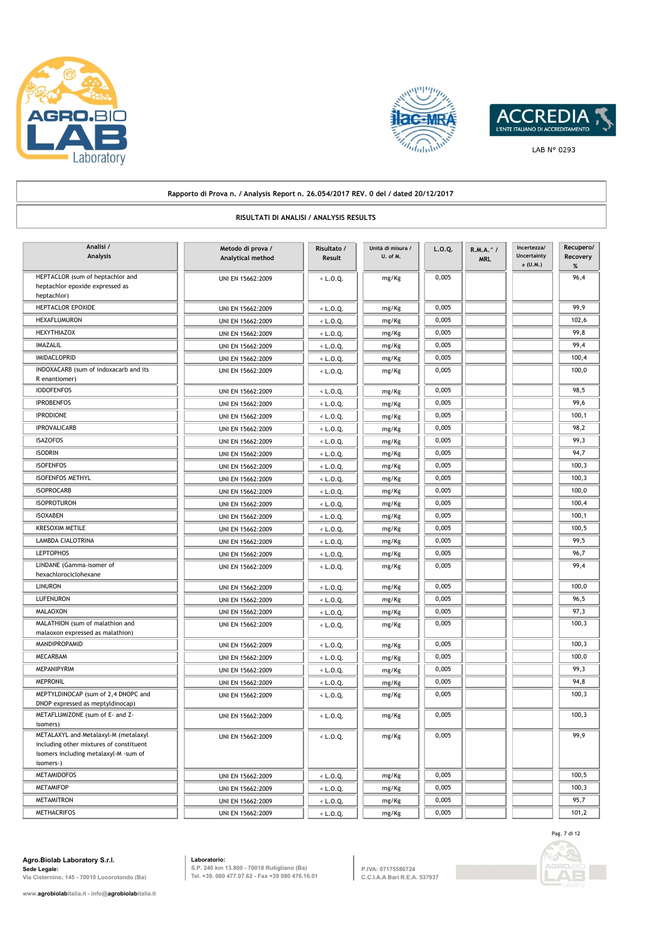





#### **Rapporto di Prova n. / Analysis Report n. 26.054/2017 REV. 0 del / dated 20/12/2017 RISULTATI DI ANALISI / ANALYSIS RESULTS Metodo di prova / Analytical method Analisi / Analysis Risultato / Result L.O.Q. R.M.A.^ / MRL Incertezza/ Uncertainty ± (U.M.) Recupero/ Recovery % Unità di misura / U. of M.** HEPTACLOR (sum of heptachlor and UNI EN 15662:2009  $\left\vert \left( \begin{array}{ccc} 1.0,0.05 & mg/Kg & 0.005 \end{array} \right) \right\vert$  96,4 heptachlor epoxide expressed as heptachlor) mg/Kg HEPTACLOR EPOXIDE UNI EN 15662:2009 < L.O.Q. mg/Kg 0,005 99,9 HEXAFLUMURON UNI EN 15662:2009 < L.O.Q. mg/Kg 0,005 102,6 HEXYTHIAZOX UNI EN 15662:2009 < L.O.Q. mg/Kg 0,005 99,8 IMAZALIL UNI EN 15662:2009 < L.O.Q. mg/Kg 0,005 99,4 IMIDACLOPRID | | UNI EN 15662:2009 | | < L.O.Q. | | mg/Kg | | 0,005 || | | 100,4 INDOXACARB (sum of indoxacarb and its UNI EN 15662:2009 < L.O.O. 0,005 0,005 100,000 100,000 100,00 R enantiomer) mg/Kg IODOFENFOS UNI EN 15662:2009 < L.O.Q. mg/Kg 0,005 98,5 IPROBENFOS UNI EN 15662:2009 < L.O.Q. mg/Kg 0,005 0005 99,6 IPRODIONE UNI EN 15662:2009 <br/>
UNI EN 15662:2009 <br/>  $L.0.Q$  mg/Kg 0,005 0,005 100,1 IPROVALICARB UNI EN 15662:2009  $\left\vert \left. \left. \left. \right. \right\vert \right\vert$   $\left\vert \left. \right. \right\vert$   $\left\vert \left. \right\vert$   $\left\vert \left. \right\vert$   $\left\vert \left. \right\vert$   $\left. \right\vert$   $\left. \right\vert$   $\left. \right\vert$   $\left. \right\vert$   $\left. \right\vert$   $\left. \right\vert$   $\left. \right\vert$   $\left. \right\vert$   $\left. \right\vert$   $\left. \right\vert$   $\left. \$ ISAZOFOS UNI EN 15662:2009 < L.O.Q. mg/Kg 0,005 99,3  $1$  ISODRIN UNI EN 15662:2009  $\leq L.0.Q$ , mg/Kg 0,005 94,7 ISOFENFOS UNIEN 15662:2009  $\begin{array}{|c|c|c|c|c|c|}\n\hline\n& & & \text{UNI EN 15662:2009}\n\hline\n& & & \text{S.005}\n\hline\n& & & \text{I.00,3}\n\hline\n& & & \text{II.00,3}\n\hline\n& & & \text{II.00,3}\n\hline\n& & & \text{II.00,3}\n\hline\n& & & \text{II.00,3}\n\hline\n& & & \text{II.00,3}\n\hline\n& & & \text{II.00,3}\n\hline\n$ ISOFENFOS METHYL **ISOFENFOS METHYL** UNI EN 15662:2009  $\begin{bmatrix} \cdot & \text{L.O.Q.} \\ \text{L.O.Q.} \end{bmatrix}$  mg/Kg  $\begin{bmatrix} 0,005 \\ 0,005 \end{bmatrix}$  100,3 ISOPROCARB UNI EN 15662:2009  $\begin{vmatrix} 1 & 0 & 0.005 \\ 0 & 0 & 0.005 \\ 0 & 0 & 0.005 \end{vmatrix}$  100,0 ISOPROTURON UNI EN 15662:2009 | < L.O.Q. | mg/Kg 0,005 | 100,4 ISOXABEN UNI EN 15662:2009  $\begin{array}{|c|c|c|c|c|c|}\n\hline\n\text{L.D.Q.} & \text{mg/Kg} & 0,005 & 100,1000 & 1000 & 1000 & 1000 & 1000 & 1000 & 1000 & 1000 & 1000 & 1000 & 1000 & 1000 & 1000 & 1000 & 1000 & 1000 & 1000 & 1000 & 1000 & 1000 & 1000 & 1000 & 1000 & 10$ KRESOXIM METILE UNI EN 15662:2009 < L.O.Q. mg/Kg 0,005 100,5 LAMBDA CIALOTRINA UNI EN 15662:2009 < L.O.Q. mg/Kg 0,005 99,5 LEPTOPHOS UNI EN 15662:2009 < L.O.Q. mg/Kg 0,005 96,7 LINDANE (Gamma-isomer of **UNIEN 15662:2009** < L.O.Q. mg/Kg 0,005 99,4 hexachlorociclohexane mg/Kg LINURON UNI EN 15662:2009 < L.O.Q. mg/Kg 0,005 100,0 LUFENURON UNI EN 15662:2009 < L.O.Q. mg/Kg 0,005 96,5 MALAOXON UNI EN 15662:2009 < L.O.Q. mg/Kg 0,005 97,3 MALATHION (sum of malathion and UNI EN 15662:2009  $\leq L.0.0$ . 0,005 0,005 100,3 malaoxon expressed as malathion) mg/Kg MANDIPROPAMID | | UNI EN 15662:2009 | | < L.O.Q. | | mg/Kg | | 0,005 || | | | | 100,3 MECARBAM UNI EN 15662:2009 < L.O.Q. mg/Kg 0,005 100,0 MEPANIPYRIM UNI EN 15662:2009 < L.O.Q. mg/Kg 0,005 99,3 MEPRONIL UNI EN 15662:2009 < L.O.Q. mg/Kg 0,005 94,8 MEPTYLDINOCAP (sum of 2,4 DNOPC and UNI EN 15662:2009 UNI EN 15662:2009 CLO.Q. 9 | mg/Kg 0,005 | 0,005 | 100,3 DNOP expressed as meptyldinocap) mg/Kg METAFLUMIZONE (sum of E- and Z-<br>
100,3 isomers) mg/Kg METALAXYL and Metalaxyl-M (metalaxyl UNI EN 15662:2009 UNI EN 15662:2009 UNI EN 15662:2009 UNI EN 199,9 including other mixtures of constituent isomers including metalaxyl-M -sum of isomers-) mg/Kg METAMIDOFOS UNI EN 15662:2009 < L.O.Q. mg/Kg 0,005 100,5 METAMIFOP UNI EN 15662:2009 < L.O.Q. mg/Kg 0,005 100,3 METAMITRON UNI EN 15662:2009 < L.O.Q. mg/Kg 0,005 95,7

METHACRIFOS UNI EN 15662:2009 < L.O.Q. mg/Kg 0,005 101,2

**Agro.Biolab Laboratory S.r.l. Sede Legale: Via Cisternino, 145 - 70010 Locorotondo (Ba)**

**Laboratorio: S.P. 240 km 13.800 - 70018 Rutigliano (Ba) Tel. +39. 080 477.07.62 - Fax +39 080 476.16.01**

**P.IVA: 07175580724 C.C.I.A.A Bari R.E.A. 537937**

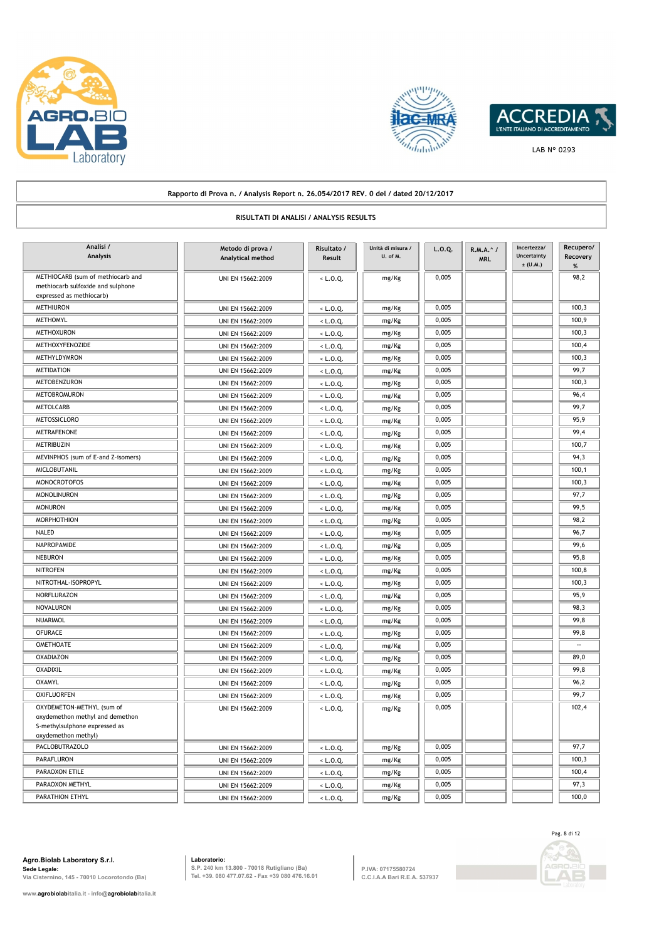





## **Rapporto di Prova n. / Analysis Report n. 26.054/2017 REV. 0 del / dated 20/12/2017 RISULTATI DI ANALISI / ANALYSIS RESULTS Metodo di prova / Analytical method Analisi / Analysis Risultato / Result L.O.Q. R.M.A.^ / MRL Incertezza/ Uncertainty ± (U.M.) Recupero/ Recovery % Unità di misura / U. of M.** METHIOCARB (sum of methiocarb and **UNIEN 15662:2009**  $\left\{\n\begin{array}{c}\n\end{array}\n\right.\n\left.\n\right\}$   $\left.\n\right.\n\left.\n\right\}$   $\left.\n\right.\n\left.\n\right\}$   $\left.\n\right.$   $\left.\n\right\}$   $\left.\n\right.$   $\left.\n\right.$   $\left.\n\right.$   $\left.\n\right.$   $\left.\n\right.$   $\left.\n\right.$   $\left.\n\right.$   $\left.\n\$ methiocarb sulfoxide and sulphone expressed as methiocarb) mg/Kg METHIURON UNI EN 15662:2009 < L.O.Q. mg/Kg 0,005 100,3 METHOMYL UNI EN 15662:2009 < L.O.Q. mg/Kg 0,005 100,9 METHOXURON UNI EN 15662:2009 < L.O.Q. mg/Kg 0,005 100,3 METHOXYFENOZIDE UNI EN 15662:2009 < L.O.Q. mg/Kg 0,005 100,4 METHYLDYMRON UNI EN 15662:2009 < L.O.Q. mg/Kg 0,005 100,3 METIDATION UNI EN 15662:2009 < L.O.Q. mg/Kg 0,005 99,7 METOBENZURON UNI EN 15662:2009 < L.O.Q. mg/Kg 0,005 100,3 METOBROMURON UNI EN 15662:2009 < L.O.Q. mg/Kg 0,005 96,4 METOLCARB UNI EN 15662:2009 < L.O.Q. mg/Kg 0,005 99,7 METOSSICLORO UNI EN 15662:2009 < L.O.Q. mg/Kg 0,005 95,9 METRAFENONE UNI EN 15662:2009 < L.O.Q. mg/Kg 0,005 99,4 METRIBUZIN UNI EN 15662:2009 < L.O.Q. mg/Kg 0,005 100,7 MEVINPHOS (sum of E-and Z-isomers) UNI EN 15662:2009 UNIEN 15662:2009 UNIEN 15662:2009 UNIEN 15662:2009 UNIEN 15662:2009 UNIEN 15662:2009 UNIEN 15662:2009 UNIEN 15662:2009 UNIEN 15662:2009 UNIEN 15662:2009 UNIEN 15662:2009 MICLOBUTANIL UNI EN 15662:2009 < L.O.Q. mg/Kg 0,005 100,1 MONOCROTOFOS UNI EN 15662:2009 < L.O.Q. mg/Kg 0,005 100,3 MONOLINURON UNI EN 15662:2009 < L.O.Q. mg/Kg 0,005 97,7 MONURON UNI EN 15662:2009  $\left\vert \left. \right. \right\vert$   $\left\vert \left. \right. \right. \left. \right\vert$   $\left\vert \left. \right. \right. \left. \right\vert$   $\left\vert \left. \right. \right\vert$   $\left\vert \left. \right. \right\vert$   $\left\vert \left. \right. \right\vert$   $\left\vert \left. \right. \right\vert$   $\left\vert \left. \right. \right.$   $\left\vert \left. \right. \right.$   $\left\vert \left. \right. \right.$   $\left\vert \left. \right. \right.$  MORPHOTHION UNI EN 15662:2009 < L.O.Q. mg/Kg 0,005 98,2 NALED | | UNI EN 15662:2009 | | < L.O.Q. | | mg/Kg | | 0,005 | | | | | | 96,7 NAPROPAMIDE UNI EN 15662:2009 < L.O.Q. mg/Kg 0,005 99,6 NEBURON UNI EN 15662:2009 < L.O.Q. mg/Kg 0,005 95,8 NITROFEN UNI EN 15662:2009 < L.O.Q. mg/Kg 0,005 100,8 NITROTHAL-ISOPROPYL UNI EN 15662:2009 < L.O.Q. mg/Kg 0,005 100,3 NORFLURAZON UNI EN 15662:2009 < L.O.Q. mg/Kg 0,005 95,9 NOVALURON UNI EN 15662:2009 < L.O.Q. mg/Kg 0,005 98,3 NUARIMOL UNI EN 15662:2009 < L.O.Q. mg/Kg 0,005 99,8 OFURACE UNI EN 15662:2009 < L.O.Q. mg/Kg 0,005 99,8 UNI EN 15662:2009 < L.O.Q. OMETHOATE mg/Kg 0,005 -- OXADIAZON UNI EN 15662:2009 < L.O.Q. mg/Kg 0,005 89,0 OXADIXIL UNI EN 15662:2009 < L.O.Q. mg/Kg 0,005 99,8 OXAMYL UNI EN 15662:2009 < L.O.Q. mg/Kg 0,005 96,2 OXIFLUORFEN UNI EN 15662:2009 < L.O.Q. mg/Kg 0,005 99,7 OXYDEMETON-METHYL (sum of The UNI EN 15662:2009 UNI EN 15662:2009 US L.O.O. 0,005 0,005 102,4 oxydemethon methyl and demethon S-methylsulphone expressed as oxydemethon methyl) mg/Kg PACLOBUTRAZOLO UNI EN 15662:2009 UNI EN 15662:2009 | < L.O.Q. | mg/Kg 0,005 | 97,7 PARAFLURON UNI EN 15662:2009 < L.O.Q. mg/Kg 0,005 100,3 PARAOXON ETILE | | UNI EN 15662:2009 | < L.O.Q. | | mg/Kg | | 0,005 | | | | 100,4 PARAOXON METHYL UNI EN 15662:2009 < L.O.Q. mg/Kg 0,005 97,3

PARATHION ETHYL UNI EN 15662:2009 < L.O.Q. mg/Kg 0,005 100,0

**Agro.Biolab Laboratory S.r.l. Sede Legale: Via Cisternino, 145 - 70010 Locorotondo (Ba)**

**www.agrobiolabitalia.it - info@agrobiolabitalia.it**

**Laboratorio: S.P. 240 km 13.800 - 70018 Rutigliano (Ba) Tel. +39. 080 477.07.62 - Fax +39 080 476.16.01**

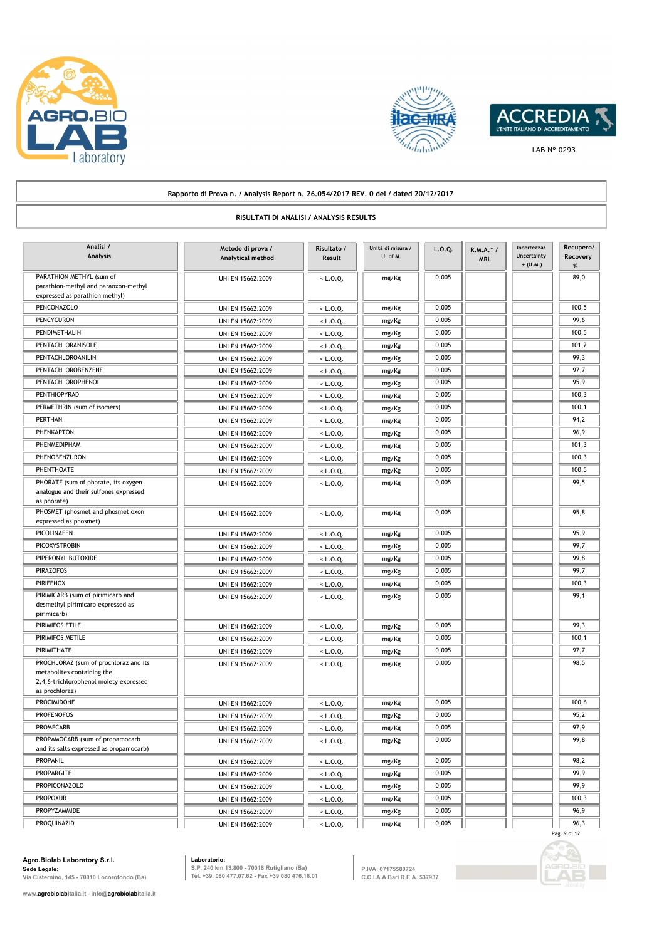





#### **Rapporto di Prova n. / Analysis Report n. 26.054/2017 REV. 0 del / dated 20/12/2017 RISULTATI DI ANALISI / ANALYSIS RESULTS Metodo di prova / Analytical method Analisi / Analysis Risultato / Result L.O.Q. R.M.A.^ / MRL Incertezza/ Uncertainty ± (U.M.) Recupero/ Recovery % Unità di misura / U. of M.** PARATHION METHYL (sum of | | UNI EN 15662:2009 | | < L.O.Q. | | mg/Kg | | 0,005 | | | | | | 89,0 parathion-methyl and paraoxon-methyl expressed as parathion methyl) mg/Kg PENCONAZOLO UNI EN 15662:2009 < L.O.Q. mg/Kg 0,005 100,5 PENCYCURON UNI EN 15662:2009 < L.O.Q. mg/Kg 0,005 99,6 PENDIMETHALIN UNI EN 15662:2009 < L.O.Q. mg/Kg 0,005 100,5 PENTACHLORANISOLE UNI EN 15662:2009 <br/>
UNI EN 15662:2009 <br/>  $\begin{array}{|c|c|c|c|c|c|c|c|c|} \hline \end{array}$  mg/Kg 0,005 0,005 101,2 PENTACHLOROANILIN UNI EN 15662:2009 < L.O.Q. mg/Kg 0,005 99,3 PENTACHLOROBENZENE UNI EN 15662:2009 < L.O.Q. mg/Kg 0,005 97,7 PENTACHLOROPHENOL UNI EN 15662:2009 < L.O.Q. mg/Kg 0,005 95,9 PENTHIOPYRAD UNI EN 15662:2009 < L.O.Q. mg/Kg 0,005 100,3 PERMETHRIN (sum of isomers) UNI EN 15662:2009 | < L.O.Q. | mg/Kg 0,005 | | 100,1 PERTHAN UNI EN 15662:2009 < L.O.Q. mg/Kg 0,005 94,2 PHENKAPTON UNI EN 15662:2009 < L.O.Q. mg/Kg 0,005 96,9 PHENMEDIPHAM UNI EN 15662:2009 < L.O.Q. mg/Kg 0,005 101,3 PHENOBENZURON UNI EN 15662:2009 < L.O.Q. mg/Kg 0,005 100,3 PHENTHOATE UNI EN 15662:2009 < L.O.Q. mg/Kg 0,005 100,5 PHORATE (sum of phorate, its oxygen UNI EN 15662:2009 | <L.O.Q. | mg/Kg | 0,005 | 99,5 analogue and their sulfones expressed as phorate) mg/Kg PHOSMET (phosmet and phosmet oxon UNI EN 15662:2009  $\left\vert \left( \begin{array}{ccc} 1.0.01 & 0.005 \\ 0.005 & 0.005 \end{array} \right) \right\vert$  95,8 expressed as phosmet) mg/Kg PICOLINAFEN UNI EN 15662:2009 < L.O.Q. mg/Kg 0,005 95,9 PICOXYSTROBIN UNI EN 15662:2009 < L.O.Q. mg/Kg 0,005 99,7 PIPERONYL BUTOXIDE | | UNI EN 15662:2009 | | < L.O.Q. | | mg/Kg | | 0,005 | | | | 99,8 PIRAZOFOS UNI EN 15662:2009 < L.O.Q. mg/Kg 0,005 99,7 PIRIFENOX UNI EN 15662:2009 < L.O.Q. mg/Kg 0,005 100,3 PIRIMICARB (sum of pirimicarb and UNI EN 15662:2009  $\sqrt{2.000 \times 10^{-4} \text{ kg/m}^2}$   $\sqrt{99.1 \times 10^{-4} \text{ kg/m}^2}}$   $\sqrt{99.1 \times 10^{-4} \text{ kg/m}^2}$   $\sqrt{99.1 \times 10^{-4} \text{ kg/m}^2}$   $\sqrt{99.1 \times 10^{-4} \text{ kg/m}^2}}$   $\sqrt{99.1 \times 10^{-4} \text{ kg/m}^2}$   $\sqrt{99$ desmethyl pirimicarb expressed as pirimicarb) mg/Kg PIRIMIFOS ETILE **199,3** UNI EN 15662:2009  $\leq$  L.O.Q. mg/Kg 0,005  $\leq$  0,005  $\leq$  99,3 PIRIMIFOS METILE UNI EN 15662:2009 < L.O.Q. mg/Kg 0,005 100,1 PIRIMITHATE UNI EN 15662:2009 < L.O.Q. mg/Kg 0,005 97,7 PROCHLORAZ (sum of prochloraz and its UNI EN 15662:2009  $\left\{\left.\right. \right. &\left. \right. &\left. \right. &\left. &\right. &\left. &\right. &\left. &\right. &\left. &\right. &\left. &\right. &\left. &\right. &\left. &\right. &\left. &\right. &\left. &\right. &\left. &\right. &\left. &\right. &\left. &\right. &\left. &\right. &\left. &\right. &\left. &\right. &\left. &\right. &\left. &\right. &\left$ metabolites containing the 2,4,6-trichlorophenol moiety expressed as prochloraz) mg/Kg PROCIMIDONE UNI EN 15662:2009 < L.O.Q. mg/Kg 0,005 100,6 PROFENOFOS UNI EN 15662:2009 < L.O.Q. mg/Kg 0,005 95,2 PROMECARB UNI EN 15662:2009 < L.O.Q. mg/Kg 0,005 97,9 PROPAMOCARB (sum of propamocarb UNI EN 15662:2009  $\left\lfloor \frac{1}{2} \cdot \frac{1}{2} \cdot \frac{1}{2} \cdot \frac{1}{2} \cdot \frac{1}{2} \cdot \frac{1}{2} \cdot \frac{1}{2} \cdot \frac{1}{2} \cdot \frac{1}{2} \cdot \frac{1}{2} \cdot \frac{1}{2} \cdot \frac{1}{2} \cdot \frac{1}{2} \cdot \frac{1}{2} \cdot \frac{1}{2} \cdot \frac{1}{2} \cdot \frac{1}{2} \cdot \frac{1}{2} \cdot \frac{1$ and its salts expressed as propamocarb) mg/Kg PROPANIL UNI EN 15662:2009 < L.O.Q. mg/Kg 0,005 98,2 PROPARGITE UNI EN 15662:2009 < L.O.Q. mg/Kg 0,005 0.005 99,9 PROPICONAZOLO UNI EN 15662:2009 < L.O.Q. mg/Kg 0,005 99,9 99,9 PROPOXUR UNI EN 15662:2009 <br/>
UNI EN 15662:2009 <br/>
<br/>
<br/>
<br/>
<br/>
<br/>
<br/>
<br/>
<br/>
<br/>
<br/>
<br/>
<br/>
<br/>
<br/>
<br/>
LO.Q. Mg/Kg 0,005 100,3 100,3 100,3 PROPYZAMMIDE UNI EN 15662:2009  $\begin{array}{|c|c|c|c|c|c|}\hline \text{Weyl} & \text{mg/kg} & \text{0,005} \hline \end{array}$

PROQUINAZID UNI EN 15662:2009 < L.O.Q. mg/Kg 0,005 96,3

**Agro.Biolab Laboratory S.r.l. Sede Legale:**

**Via Cisternino, 145 - 70010 Locorotondo (Ba)**

**Laboratorio:**

**S.P. 240 km 13.800 - 70018 Rutigliano (Ba) Tel. +39. 080 477.07.62 - Fax +39 080 476.16.01** **P.IVA: 07175580724 C.C.I.A.A Bari R.E.A. 537937**



Pag. 9 di 12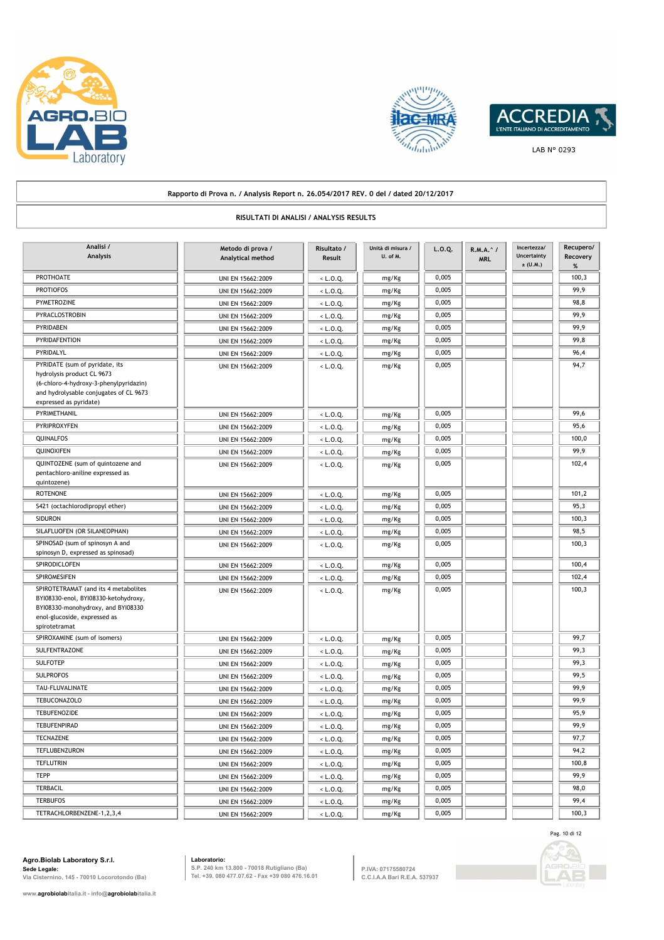





LAB N° 0293

## **Rapporto di Prova n. / Analysis Report n. 26.054/2017 REV. 0 del / dated 20/12/2017**

## **RISULTATI DI ANALISI / ANALYSIS RESULTS**

| Analisi /<br><b>Analysis</b>                                                                                                                                               | Metodo di prova /<br>Analytical method | Risultato /<br>Result | Unità di misura /<br>U. of M. | L.0.Q. | R.M.A. ^ /<br><b>MRL</b> | Incertezza/<br><b>Uncertainty</b><br>$±$ (U.M.) | Recupero/<br>Recovery<br>% |
|----------------------------------------------------------------------------------------------------------------------------------------------------------------------------|----------------------------------------|-----------------------|-------------------------------|--------|--------------------------|-------------------------------------------------|----------------------------|
| PROTHOATE                                                                                                                                                                  | UNI EN 15662:2009                      | $<$ L.O.Q.            | mg/Kg                         | 0,005  |                          |                                                 | 100,3                      |
| <b>PROTIOFOS</b>                                                                                                                                                           | UNI EN 15662:2009                      | $<$ L.O.Q.            | mg/Kg                         | 0,005  |                          |                                                 | 99,9                       |
| PYMETROZINE                                                                                                                                                                | UNI EN 15662:2009                      | $<$ L.O.Q.            | mg/Kg                         | 0,005  |                          |                                                 | 98,8                       |
| PYRACLOSTROBIN                                                                                                                                                             | UNI EN 15662:2009                      | $<$ L.O.Q.            | mg/Kg                         | 0,005  |                          |                                                 | 99,9                       |
| PYRIDABEN                                                                                                                                                                  | UNI EN 15662:2009                      | $<$ L.O.Q.            | mg/Kg                         | 0,005  |                          |                                                 | 99.9                       |
| PYRIDAFENTION                                                                                                                                                              | UNI EN 15662:2009                      | $<$ L.O.Q.            | mg/Kg                         | 0,005  |                          |                                                 | 99,8                       |
| PYRIDALYL                                                                                                                                                                  | UNI EN 15662:2009                      | < L.O.Q.              | mg/Kg                         | 0,005  |                          |                                                 | 96,4                       |
| PYRIDATE (sum of pyridate, its<br>hydrolysis product CL 9673<br>(6-chloro-4-hydroxy-3-phenylpyridazin)<br>and hydrolysable conjugates of CL 9673<br>expressed as pyridate) | UNI EN 15662:2009                      | $<$ L.O.Q.            | mg/Kg                         | 0,005  |                          |                                                 | 94,7                       |
| PYRIMETHANIL                                                                                                                                                               | UNI EN 15662:2009                      | $<$ L.O.Q.            | mg/Kg                         | 0,005  |                          |                                                 | 99,6                       |
| PYRIPROXYFEN                                                                                                                                                               | UNI EN 15662:2009                      | $<$ L.O.Q.            | mg/Kg                         | 0,005  |                          |                                                 | 95,6                       |
| QUINALFOS                                                                                                                                                                  | UNI EN 15662:2009                      | $<$ L.O.Q.            | mg/Kg                         | 0,005  |                          |                                                 | 100,0                      |
| QUINOXIFEN                                                                                                                                                                 | UNI EN 15662:2009                      | $<$ L.O.Q.            | mg/Kg                         | 0,005  |                          |                                                 | 99,9                       |
| QUINTOZENE (sum of quintozene and<br>pentachloro-aniline expressed as<br>quintozene)                                                                                       | UNI EN 15662:2009                      | $<$ L.O.Q.            | mg/Kg                         | 0,005  |                          |                                                 | 102,4                      |
| <b>ROTENONE</b>                                                                                                                                                            | UNI EN 15662:2009                      | $<$ L.O.Q.            | mg/Kg                         | 0,005  |                          |                                                 | 101,2                      |
| S421 (octachlorodipropyl ether)                                                                                                                                            | UNI EN 15662:2009                      | $<$ L.O.Q.            | mg/Kg                         | 0,005  |                          |                                                 | 95,3                       |
| <b>SIDURON</b>                                                                                                                                                             | UNI EN 15662:2009                      | $<$ L.O.Q.            | mg/Kg                         | 0,005  |                          |                                                 | 100,3                      |
| SILAFLUOFEN (OR SILANEOPHAN)                                                                                                                                               | UNI EN 15662:2009                      | $<$ L.O.Q.            | mg/Kg                         | 0,005  |                          |                                                 | 98,5                       |
| SPINOSAD (sum of spinosyn A and<br>spinosyn D, expressed as spinosad)                                                                                                      | UNI EN 15662:2009                      | $<$ L.O.Q.            | mg/Kg                         | 0,005  |                          |                                                 | 100,3                      |
| SPIRODICLOFEN                                                                                                                                                              | UNI EN 15662:2009                      | $<$ L.O.Q.            | mg/Kg                         | 0,005  |                          |                                                 | 100,4                      |
| SPIROMESIFEN                                                                                                                                                               | UNI EN 15662:2009                      | $<$ L.O.Q.            | mg/Kg                         | 0,005  |                          |                                                 | 102,4                      |
| SPIROTETRAMAT (and its 4 metabolites<br>BYI08330-enol, BYI08330-ketohydroxy,<br>BYI08330-monohydroxy, and BYI08330<br>enol-glucoside, expressed as<br>spirotetramat        | UNI EN 15662:2009                      | < L.O.Q.              | mg/Kg                         | 0,005  |                          |                                                 | 100,3                      |
| SPIROXAMINE (sum of isomers)                                                                                                                                               | UNI EN 15662:2009                      | $<$ L.O.Q.            | mg/Kg                         | 0,005  |                          |                                                 | 99,7                       |
| SULFENTRAZONE                                                                                                                                                              | UNI EN 15662:2009                      | $<$ L.O.Q.            | mg/Kg                         | 0,005  |                          |                                                 | 99,3                       |
| <b>SULFOTEP</b>                                                                                                                                                            | UNI EN 15662:2009                      | $<$ L.O.Q.            | mg/Kg                         | 0,005  |                          |                                                 | 99,3                       |
| <b>SULPROFOS</b>                                                                                                                                                           | UNI EN 15662:2009                      | $<$ L.O.Q.            | mg/Kg                         | 0,005  |                          |                                                 | 99,5                       |
| TAU-FLUVALINATE                                                                                                                                                            | UNI EN 15662:2009                      | $<$ L.O.Q.            | mg/Kg                         | 0,005  |                          |                                                 | 99,9                       |
| <b>TEBUCONAZOLO</b>                                                                                                                                                        | UNI EN 15662:2009                      | $<$ L.O.Q.            | mg/Kg                         | 0,005  |                          |                                                 | 99,9                       |
| <b>TEBUFENOZIDE</b>                                                                                                                                                        | UNI EN 15662:2009                      | $<$ L.O.Q.            | mg/Kg                         | 0,005  |                          |                                                 | 95,9                       |
| <b>TEBUFENPIRAD</b>                                                                                                                                                        | UNI EN 15662:2009                      | $<$ L.O.Q.            | mg/Kg                         | 0,005  |                          |                                                 | 99,9                       |
| <b>TECNAZENE</b>                                                                                                                                                           | UNI EN 15662:2009                      | $<$ L.O.Q.            | mg/Kg                         | 0,005  |                          |                                                 | 97,7                       |
| TEFLUBENZURON                                                                                                                                                              | UNI EN 15662:2009                      | $<$ L.O.Q.            | mg/Kg                         | 0,005  |                          |                                                 | 94,2                       |
| <b>TEFLUTRIN</b>                                                                                                                                                           | UNI EN 15662:2009                      | $<$ L.O.Q.            | mg/Kg                         | 0,005  |                          |                                                 | 100,8                      |
| <b>TEPP</b>                                                                                                                                                                | UNI EN 15662:2009                      | $<$ L.O.Q.            | mg/Kg                         | 0,005  |                          |                                                 | 99,9                       |
| TERBACIL                                                                                                                                                                   | UNI EN 15662:2009                      | $<$ L.O.Q.            | mg/Kg                         | 0,005  |                          |                                                 | 98,0                       |
| <b>TERBUFOS</b>                                                                                                                                                            | UNI EN 15662:2009                      | $<$ L.O.Q.            | mg/Kg                         | 0,005  |                          |                                                 | 99,4                       |
| TETRACHLORBENZENE-1,2,3,4                                                                                                                                                  | UNI EN 15662:2009                      | $<$ L.O.Q.            | mg/Kg                         | 0,005  |                          |                                                 | 100,3                      |

**Agro.Biolab Laboratory S.r.l. Sede Legale: Via Cisternino, 145 - 70010 Locorotondo (Ba)**

**Laboratorio: S.P. 240 km 13.800 - 70018 Rutigliano (Ba) Tel. +39. 080 477.07.62 - Fax +39 080 476.16.01**

**P.IVA: 07175580724 C.C.I.A.A Bari R.E.A. 537937**

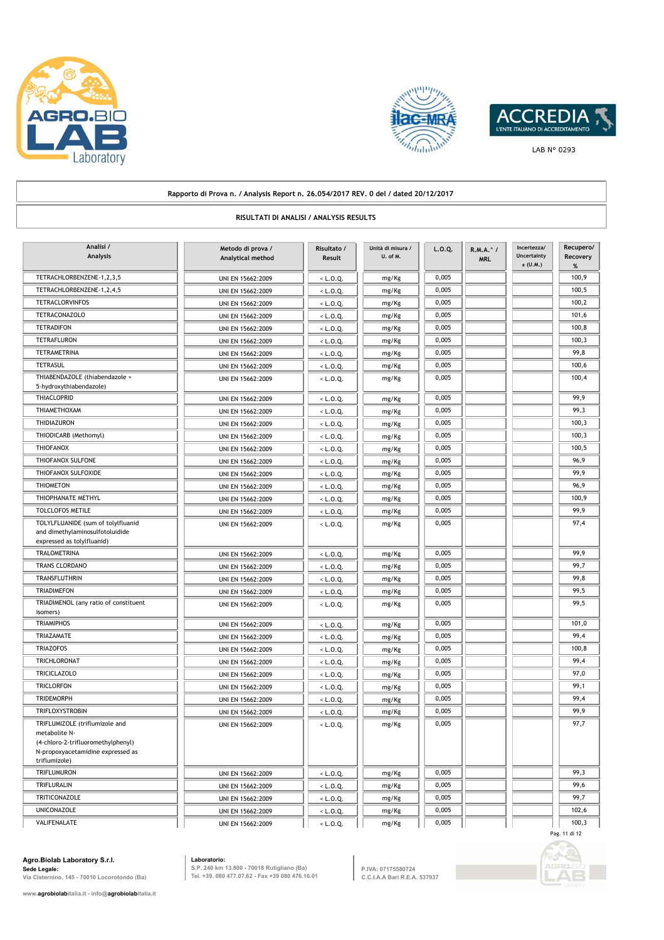





### **Rapporto di Prova n. / Analysis Report n. 26.054/2017 REV. 0 del / dated 20/12/2017 RISULTATI DI ANALISI / ANALYSIS RESULTS Metodo di prova / Analytical method Analisi / Analysis Risultato / Result L.O.Q. R.M.A.^ / MRL Incertezza/ Uncertainty**   $\pm$  (U.M.) **Recupero/ Recovery % Unità di misura / U. of M.** TETRACHLORBENZENE-1,2,3,5 UNI EN 15662:2009 (C.D.Q. mg/Kg 0,005 100,9 TETRACHLORBENZENE-1,2,4,5 UNI EN 15662:2009 < L.O.Q. mg/Kg 0,005 10005 1000,5 1000,5 TETRACLORVINFOS UNI EN 15662:2009 < L.O.Q. mg/Kg 0,005 100,2 TETRACONAZOLO UNI EN 15662:2009 < L.O.Q. mg/Kg 0,005 101,6 TETRADIFON UNI EN 15662:2009 < L.O.Q. mg/Kg 0,005 100,8 TETRAFLURON UNI EN 15662:2009 < L.O.Q. mg/Kg 0,005 100,3 TETRAMETRINA UNI EN 15662:2009 < L.O.Q. mg/Kg 0,005 99,8 TETRASUL **100,6** UNI EN 15662:2009 <br/>
UNI EN 15662:2009 <br/>  $L.0.Q$  mg/Kg 0,005 0,005 100,6 THIABENDAZOLE (thiabendazole + UNI EN 15662:2009 < L.O.Q. 0,005 0,005 100,4 5-hydroxythiabendazole) mg/Kg THIACLOPRID | | UNI EN 15662:2009 | | < L.O.Q. | | mg/Kg | | 0,005 | | | | | | 99,9 THIAMETHOXAM UNI EN 15662:2009 < L.O.Q. mg/Kg 0,005 99,3 THIDIAZURON UNI EN 15662:2009 < L.O.Q. mg/Kg 0,005 100,3 THIODICARB (Methomyl) UNI EN 15662:2009 | <L.O.Q. | mg/Kg | 0,005 | 100,3 THIOFANOX UNI EN 15662:2009 < L.O.Q. mg/Kg 0,005 100,5 THIOFANOX SULFONE UNI EN 15662:2009 < L.O.Q. mg/Kg 0,005 96,9 THIOFANOX SULFOXIDE | | UNI EN 15662:2009 | | <L.O.Q. | | mg/Kg | | 0,005 | | | | 99,9 THIOMETON UNI EN 15662:2009 < L.O.Q. mg/Kg 0,005 96,9 THIOPHANATE METHYL | | UNI EN 15662:2009 | | < L.O.Q. | | mg/Kg | | 0,005 | | | | | | 100,9 TOLCLOFOS METILE | | UNI EN 15662:2009 | | <L.O.Q. | | mg/Kg | | 0,005 || | | 99,9 TOLYLFLUANIDE (sum of tolylfluanid and the UNI EN 15662:2009  $\left\vert \left( \begin{array}{ccc} 1 & 0.005 \\ 0.005 & 0.005 \end{array} \right) \right\vert$  97,4 and dimethylaminosulfotoluidide expressed as tolylfluanid) mg/Kg TRALOMETRINA UNI EN 15662:2009 < L.O.Q. mg/Kg 0,005 99,9 TRANS CLORDANO UNI EN 15662:2009 UNI EN 15662:2009 | < L.O.Q. | mg/Kg 0,005 | 99,7 TRANSFLUTHRIN UNI EN 15662:2009 UNI EN 15662:2009 | < L.O.Q. | mg/Kg 0,005 | 99,8 TRIADIMEFON UNI EN 15662:2009 UNI EN 15662:2009 | <L.O.Q. | mg/Kg 0,005 | 99,5 TRIADIMENOL (any ratio of constituent UNI EN 15662:2009 UNI EN 15662:2009 US ALLO.Q. isomers) mg/Kg TRIAMIPHOS UNI EN 15662:2009 < L.O.Q. mg/Kg 0,005 101,0 TRIAZAMATE UNI EN 15662:2009 < L.O.Q. mg/Kg 0,005 99,4 TRIAZOFOS UNI EN 15662:2009 < L.O.Q. mg/Kg 0,005 100,8 TRICHLORONAT UNI EN 15662:2009 < L.O.Q. mg/Kg 0,005 99,4 TRICICLAZOLO UNI EN 15662:2009 < L.O.Q. mg/Kg 0,005 97,0 TRICLORFON UNI EN 15662:2009 < L.O.Q. mg/Kg 0,005 99,1 TRIDEMORPH UNI EN 15662:2009 < L.O.Q. mg/Kg 0,005 99,4 TRIFLOXYSTROBIN UNI EN 15662:2009 < L.O.Q. mg/Kg 0,005 99,9 TRIFLUMIZOLE (triflumizole and UNI EN 15662:2009  $\leq L.0.0$ . 0,005 0.005 97,7 metabolite N- (4-chloro-2-trifluoromethylphenyl) N-propoxyacetamidine expressed as triflumizole) mg/Kg TRIFLUMURON UNI EN 15662:2009 | < L.O.Q. | mg/Kg 0,005 | 99,3 TRIFLURALIN UNI EN 15662:2009 | < L.O.Q. | mg/Kg 0,005 | 99,6 TRITICONAZOLE UNI EN 15662:2009  $\leftarrow$  L.O.Q. mg/Kg 0,005 005 99,7 UNICONAZOLE UNI EN 15662:2009 <br/>
UNICONAZOLE UNI EN 15662:2009 <br/>
<br/>
<br/>
<br/>
<br/>
UNICONAZOLE 102,6

VALIFENALATE UNI EN 15662:2009 < L.O.Q. mg/Kg 0,005 100,3

**Agro.Biolab Laboratory S.r.l. Sede Legale: Via Cisternino, 145 - 70010 Locorotondo (Ba)**

**Laboratorio: S.P. 240 km 13.800 - 70018 Rutigliano (Ba) Tel. +39. 080 477.07.62 - Fax +39 080 476.16.01**

**P.IVA: 07175580724 C.C.I.A.A Bari R.E.A. 537937**



Pag. 11 di 12